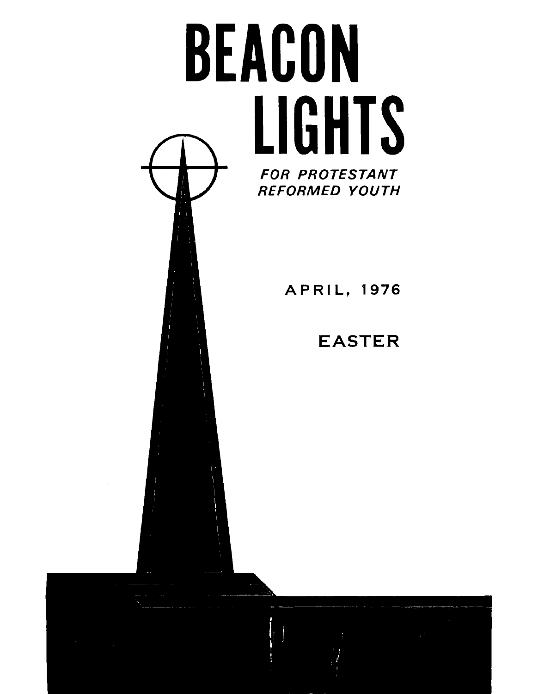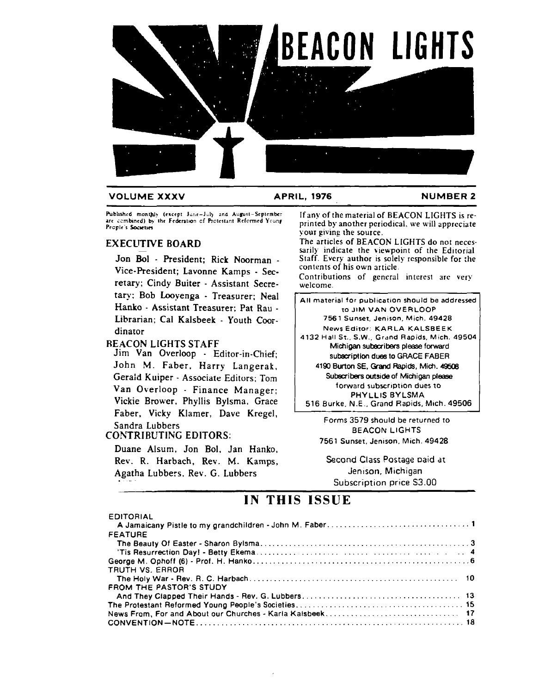

#### **VOLUME XXXV APRIL, 1976 NUMBER 2**

**hbluhrd** mont)llr (racrpl **Jurrr-Ju4 2nd** Auwrt-Scplrmbcr **ut ,srnbinrd) b\** thr Frhntio~ **cT** Rotcstant **Rclomrd Yrunp**  People's Societies

#### EXECUTIVE BOARD

Jon Bol - President; Rick Noorman -Vice-President; Lavonne Kamps - Secretary; Cindy Buiter - Assistant Secretary: Bob Looyenga - Treasurer; Neal Hanko - Assistant Treasurer; Pat Rau - Librarian; Cal Kalsbeek - Youth Coordinator

#### REACON LIGHTS STAFF

Jim Van Overloop - Editor-in-Chief; John M. Faber. Harry Langerak, Gerald Kuiper - Associate Editors; Tom Van Overloop - Finance Manager: Vickie Brower. Phyllis Bylsma, Grace Faber, Vicky Klamer, Dave Kregel, Sandra Lubbers

#### COhTRIBUTING EDITORS:

EDITORIAL

Duane Alsurn. Jon Bol. Jan Hanko. Rev. R. Harbach, Rev. **M.** Kamps, Agatha Lubbers, Rev. G. Lubbers.

If any of the material of BEACON LIGHTS is reprinted by another periodical. we **will** apprcciate your giving the source.

The articles of BEACON LIGHTS do not necessarily indicate the viewpoint of the Editorial Staff. Every author is solely responsible for :he contents of his own article.

Contributions of general interest are **very**  welcome.

All material for publication should be addressed to JIM VAN **OVERLOOP**  7561 Sunset, Jenison, Mich. 49428.

News Editor. KARLA KALSBEEK 4132 Hall St.. S.W.. Grand Rapids. Mich. 49504 Michigan subscribers please forward

subscriptlon dues to GRACE FABER

**4190** Burton SE. **Grand** Rapids, Mich. **49508**  Subscribers outside of Michigan please forward subscription dues to PHYLLIS BYLSMA

516 Burke, N.E., Grand Rapids, Mich. 49506

Forms 3579 should be returned to BEACOM LIGHTS 7561 Sunset, Jenison, Mich. 49428.

Second Class Postage oaid **dt**  Jenison, Michigan Subscription price S3.00

### **IN THIS ISSUE**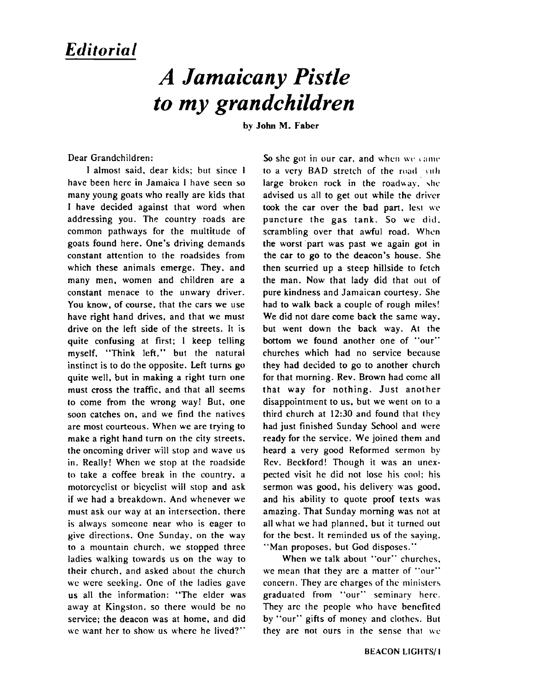### *Editoria* **<sup>1</sup>**

## *A Jamaicany Pistle to my grandchildren*

**by** John M. **Faber** 

Dear Grandchildren:

I almost said, dear kids: but since 1 have been here in Jamaica I have seen so many young goats who really are kids that I have decided against that word when addressing you. The country roads are common pathways for the multitude of goats found here. One's driving demands constant attention to the roadsides from which these animals emerge. They, and many men, women and children are a constant menace to the unwary driver. You know, of course, that the cars we use have right hand drives, and that we must drive on the left side of the streets. It is quite confusing at first; I keep telling myself, "Think left." but the natural instinct is to do the opposite. Left turns go quite well, but in making a right turn one must cross the traffic. and that all seems to come from the wrong way! But, one soon catches on, and we find the natives are most courteous. When we are trying to make a right hand turn on the city streets. the oncoming driver will stop and wave us in. Really! When **we** stop at the roadside to take a coffee break in the country. a motorcyclist or bicyclist will stop and ask if we had a breakdown. And whenever we must ask our way at an intersection, there is always someone near who is eager to give directions. One Sunday, on the way to a mountain church. we stopped three ladies walking towards us on the way to their church, and asked about the church wc were seeking. One of the ladies gave us all the information: "The elder was away at Kingston. so there would be no service; the deacon was at home, and did **we** want her to show us where he lived?"

So she got in our car, and when we came to a very BAD stretch of the road with large broken rock in the roadway. she advised us all to get out while the driver took the car over the bad part, lest we puncture the gas tank. So we did. scrambling over that awful road. **Whcn**  the worst part was past we again got in the car to go to the deacon's house. She then scurried up a steep hillside to fetch the man. Now that lady did that out of pure kindness and Jamaican courtesy. She had to walk back a couple of rough miles! We did not dare come back the same way. but went down the back way. At the bottom we found another one of "our" churches which had no service because they had decided to go to another church for that morning. Rev. **Brown** had come all that way for nothing. Just another disappointment to us. but we went on to a third church at **12:30** and found that they had just finished Sunday School and were ready for the service. We joined them and heard a very good Reformed sermon by Rev. Beckford! Though it was an unexpected visit he did not lose his cool: his sermon was good. his delivery was good. and his ability to quote proof texts was amazing. That Sunday morning was not at all what we had planned, but it turned out for the bcst. It reminded us of the saying. "Man proposes, but God disposes."

When we talk about "our" churches. we mean that they are a matter of "our" concern. They are charges of the ministers graduated from "our" seminary here. They arc the people who have bencfitcd by "our" gifts of money and clothes. But they are not ours in the sense that  $\&c$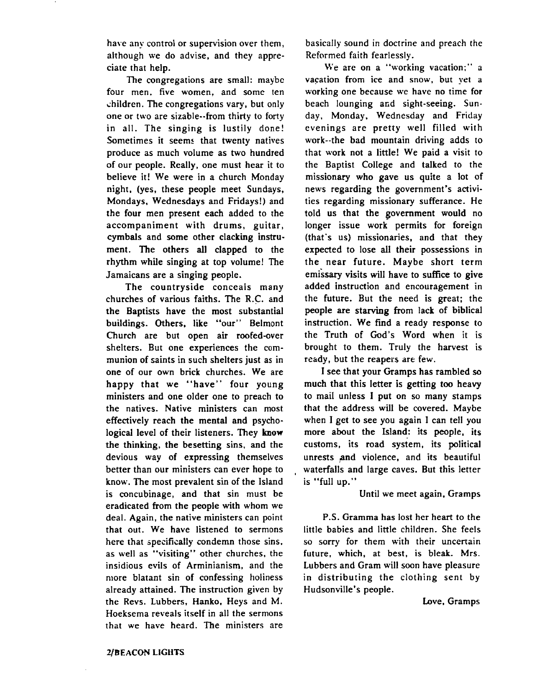have any control or supervision over them, although we do advise, and they appreciate that help.

The congregations are small: maybc four men. five women, and some ten children. The congregations vary, but only one or two are sizable--from thirty to forty in all. The singing is lustily done! Sometimes it seems that twenty natives produce as much volume as two hundred of our people. Really, one must hear it to believe it! We were in a church Monday night. (yes, these people meet Sundays, Mondays. Wednesdays and Fridays!) and the four men present each added to the accompaniment with drums, guitar, cymbals and some other clacking instrument. The others all clapped to the rhythm while singing at top volume! The Jamaicans are a singing people.

The countryside conceals many churches of various faiths. The R.C. and the Baptists have the most substantial buildings. Others. like "our" Belmont Church are but open air roofed-over shelters. But one experiences the communion of saints in such shelters just as in one of our own brick churches. We are happy that we "have" four young ministers and one older one to preach to the natives. Native ministers can most effectively reach the mental and psychological level of their listeners. They know the thinking, the besetting sins, and the devious way of expressing themselves better than our ministers can ever hope to know. The most prevalent sin of the Island is concubinage, and that sin must be eradicated from the people with whom we deal. Again, the native ministers can point that out. We have listened to sermons here that specifically condemn those sins. as well as "visiting" other churches, the insidious evils of Arminianism, and the more blatant sin of confessing holiness already attained. The instruction given by the Revs. Lubbers, Hanko. Heys and M. Hoeksema reveals itself in all the sermons that we have heard. The ministers are

basically sound in doctrine and preach the Reformed faith fearlessly.

We are on a "working vacation;" a vacation from ice and snow, but yet a working one because we have no time for beach lounging and sight-seeing. Sunday, Monday. Wednesday and Friday evenings are pretty well filled with work--the bad mountain driving adds to that work not a little! We paid a visit to the Baptist College and talked to the missionary who gave us quite a lot of news regarding the government's activities regarding missionary sufferance. He told us that the government would no longer issue work permits for foreign (that's us) missionaries. and that they expected to lose all their possessions in the near future. Maybe short term emissary visits will have to suffice to give added instruction and encouragement in the future. But the need is great; the people are starving from lack of biblical instruction. We find a ready response to the Truth of God's Word when it is brought to them. Truly the harvest is ready, but the reapers are few.

I see that your Gramps has rambled so much that this letter is getting too heavy to mail unless I put on so many stamps that the address will be covered. Maybe when I get to see you again 1 can tell you more about the Island: its people, its customs, its road system, its political unrests and violence, and its beautiful waterfalls and large caves. But this letter is "full up."

Until we meet again. Gramps

P.S. Gramma has lost her heart to the little babies and little children. She feels so sorry for them with their uncertain future, which, at best, is bleak. Mrs. Lubbers and Gram will soon have pleasure in distributing the clothing sent by Hudsonville's people.

Love, Gramps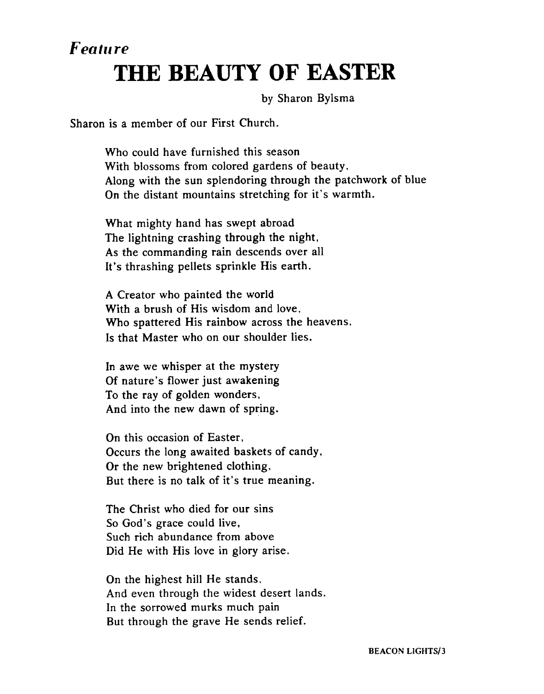## *Featrc re*  **THE BEAUTY OF EASTER**

by Sharon Bylsma

Sharon is a member of our First Church.

Who could have furnished this season With blossoms from colored gardens of beauty, Along with the sun splendoring through the patchwork of blue On the distant mountains stretching for it's warmth.

What mighty hand has swept abroad The lightning crashing through the night, As the commanding rain descends over all It's thrashing pellets sprinkle His earth.

A Creator who painted the world With a brush of His wisdom and love, Who spattered His rainbow across the heavens. Is that Master who on our shoulder lies.

In awe we whisper at the mystery Of nature's flower just awakening To the ray of golden wonders, And into the new dawn of spring.

On this occasion of Easter, Occurs the long awaited baskets of candy, Or the new brightened clothing. But there is no talk of it's true meaning.

The Christ who died for our sins So God's grace could live, Such rich abundance from above Did He with His love in glory arise.

On the highest hill He stands, And even through the widest desert lands. In the sorrowed murks much pain But through the grave He sends relief.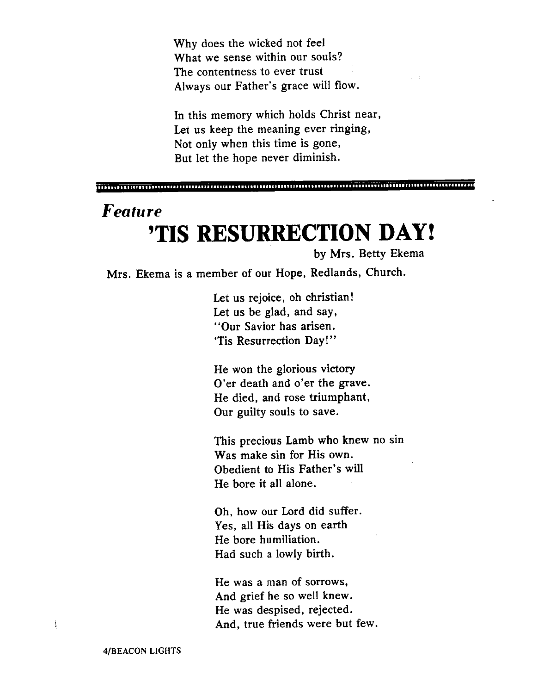Why does the wicked not feel What we sense within our souls? The contentness to ever trust Always our Father's grace will flow.

In this memory which holds Christ near, Let us keep the meaning ever ringing, Not only when this time is gone, But let the hope never diminish.

## *Feature*  **'TIS RESURRECTION DAY!**

by Mrs. Betty Ekema

Mrs. Ekema is a member of our Hope, Redlands, Church.

Let us rejoice, oh christian! Let us be glad, and say, "Our Savior has arisen. 'Tis Resurrection Day!"

He won the glorious victory O'er death and o'er the grave. He died, and rose triumphant, Our guilty souls to save.

This precious Lamb who knew no sin Was make sin for His own. Obedient to His Father's will He bore it all alone.

Oh, how our Lord did suffer. Yes, all His days on earth He bore humiliation. Had such a lowly birth.

He was a man of sorrows, And grief he so well knew. He was despised, rejected. And, true friends were but few.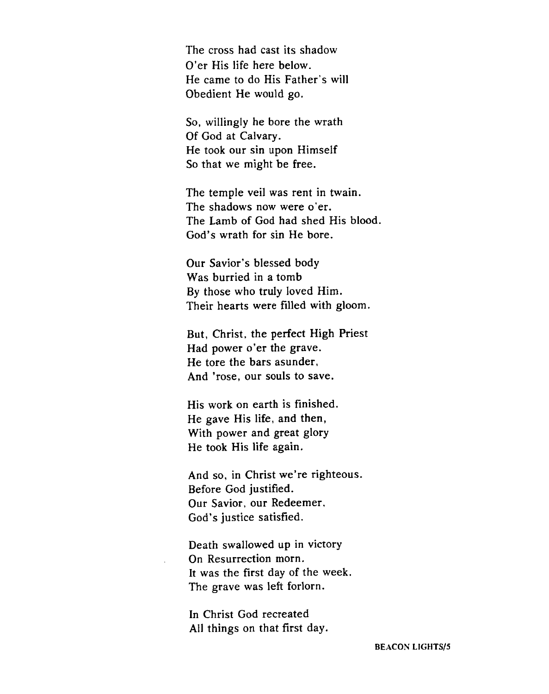The cross had cast its shadow O'er His life here below. He came to do His Father's will Obedient He would go.

*So,* willingly he bore the wrath Of God at Calvary. He took our sin upon Himself So that we might be free.

The temple veil was rent in twain. The shadows now were o'er. The Lamb of **God** had shed His blood. God's wrath for sin He bore.

Our Savior's blessed body Was burried in a tomb By those who truly loved Him. Their hearts were filled with gloom.

But, Christ, the perfect High Priest Had power o'er the grave. He tore the bars asunder, And 'rose, our souls to save.

His work on earth is finished. He gave His life, and then, With power and great glory He took His life again.

And so, in Christ we're righteous. Before God justified. Our Savior, our Redeemer, God's justice satisfied.

Death swallowed up in victory On Resurrection morn. It was the first day of the week. The grave was left forlorn.

In Christ God recreated All things on that first day.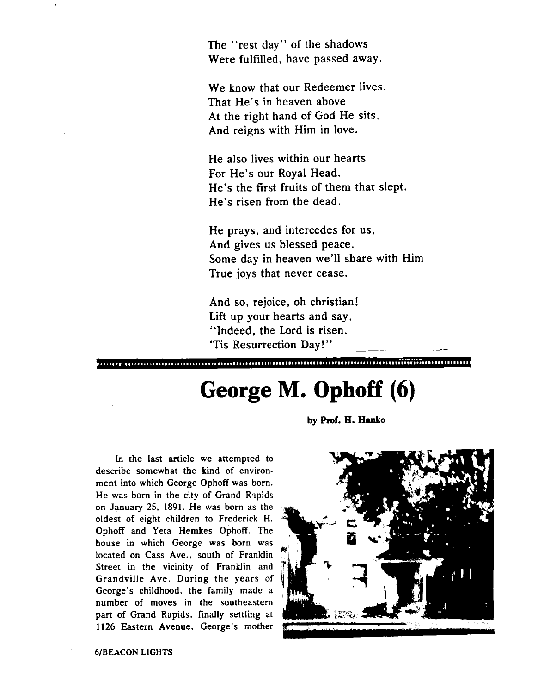The "rest day" of the shadows Were fulfilled, have passed away.

We know that our Redeemer lives. That He's in heaven above At the right hand of God He sits, And reigns with Him in love.

He also lives within our hearts For He's our Royal Head. He's the first fruits of them that slept. He's risen from the dead.

He prays, and intercedes for us, And gives us blessed peace. Some day in heaven we'll share with Him True joys that never cease.

And so, rejoice, oh christian! Lift up your hearts and say. "Indeed, the Lord is risen. 'Tis Resurrection Day!"

## **George M. Ophoff** *(6)*

**by Prof. H. Hanko** 

In the last article we attempted to describe somewhat the kind of environment into which George Ophoff was born. He was born in the city of Grand Rapids on January **25.** 1891. He was born as the oldest of eight children to Frederick H. Ophoff and Yeta Hemkes Ophoff. The house in which George was **born** was located on Cass Ave., south of Franklin Street in the vicinity of Franklin and Grandville Ave. During the years of George's childhood. the family made a number of moves in the southeastern part of Grand Rapids. finally settling at 1126 Eastern Avenue. George's mother



**6/BEACON LIGHTS**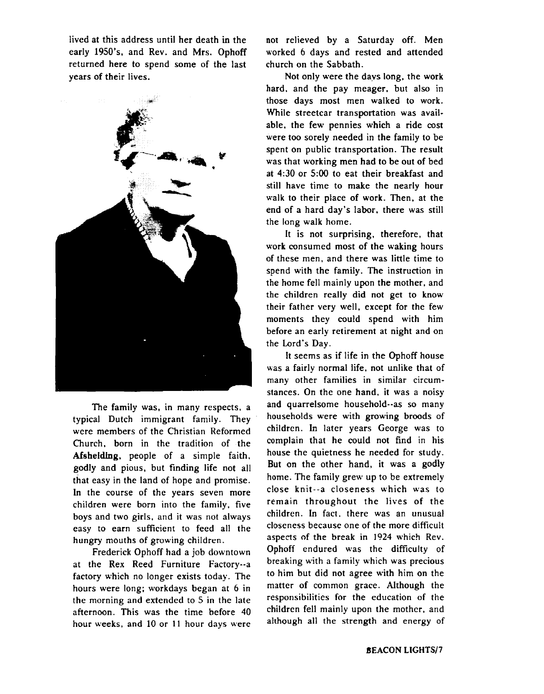lived at this address until her death in the early 1950's, and Rev. and Mrs. Ophoff returned here to spend some of the last years of their lives.



The family was, in many respects, a typical Dutch immigrant family. They were members of the Christian Reformed Church, born in the tradition of the **Afsheldlng,** people of a simple faith. godly and pious, but finding life not all that easy in the land of hope and promise. In the course of the years seven more children were born into the family. five boys and two girls, and it was not always easy to earn sufficient to feed all the hungry mouths of growing children.

Frederick Ophoff had a job downtown at the Rex Reed Furniture Factory--a factory which no longer exists today. The hours were long; workdays began at 6 in the morning and extended to 5 in the late afternoon. This was the time before 40 hour weeks, and 10 or **11** hour days were

not relieved by a Saturday off. Men worked 6 days and rested and attended church on the Sabbath.

Not only were the davs long, the work hard, and the pay meager, but also in those days most men walked to work. While streetcar transportation was available, the few pennies which a ride cost were too sorely needed in the family to be spent on public transportation. The result was that working men had to be out of bed at 4:30 or **5:00** to eat their breakfast and still have time to make the nearly hour walk to their place of work. Then, at the end of a hard day's labor, there was still the long walk home.

It is not surprising, therefore, that work consumed most of the waking hours of these men, and there was little time to spend with the family. The instruction in the home fell mainly upon the mother, and the children really did not get to know their father very well, except for the few moments they could spend with him before an early retirement at night and on the Lord's Day.

It seems as if life in the Ophoff house was a fairly normal life, not unlike that of many other families in similar circumstances. On the one hand, it was a noisy and quarrelsome household--as so many households were with growing broods of children. In later years George was to complain that he could not find in his house the quietness he needed for study. But on the other hand, it was a godly home. The family grew up to be extremely close knit--a closeness which was to remain throughout the lives of the children. In fact. there was an unusual closeness because one of the more difficult aspects of the break in 1924 which Rev. Ophoff endured was the difficulty of breaking with a family which was precious to him but did not agree with him on the matter of common grace. Although the responsibilities for the education of the children fell mainly upon the mother, and although all the strength and energy of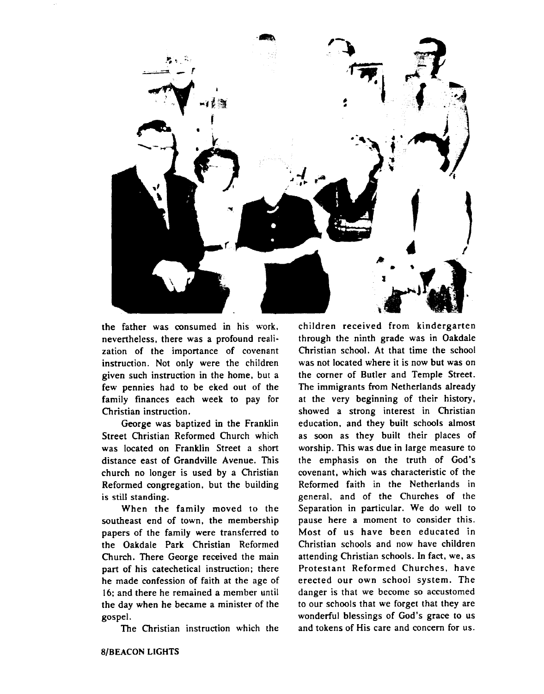

the father was consumed in his work. nevertheless, there was a profound realization of the importance of covenant instruction. Not only were the children given such instruction in the home, but a few pennies had to be eked out of the family finances each week to pay for Christian instruction.

George was baptized in the Franklin Street Christian Reformed Church which was located on Franklin Street a short distance east of Grandville Avenue. This church no longer is used by a Christian Reformed congregation, but the building is still standing.

When the family moved to the southeast end of town, the membership papers of the family were transferred to the Oakdale Park Christian Reformed Church. There George received the main part of his catechetical instruction; there he made confession of faith at the age of 16: and there he remained a member until the day when he became a minister of the gospel.

The Christian instruction which the

children received from kindergarten through the ninth grade was in Oakdale Christian school. At that time the school was not located where it is now but was on the corner of Butler and Temple Street. The immigrants from Netherlands already at the very beginning of their history, showed a strong interest in Christian education. and they built schools almost as soon as they built their places of worship. This was due in large measure to the emphasis on the truth of God's covenant, which was characteristic of the Reformed faith in the Netherlands in general, and of the Churches of the Separation in particular. We do well to pause here a moment to consider this. Most of us have been educated in Christian schools and now have children attending Christian schools. In fact, we, as Protestant Reformed Churches, have erected our own school system. The danger is that we become so accustomed to our schools that we forget that they are wonderful blessings of God's grace to us and tokens of His care and concern for us.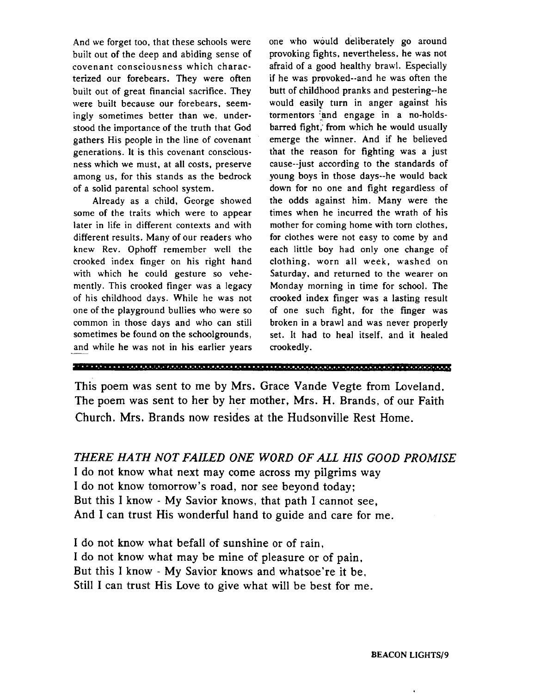And we forget too, that these schools were built out of the deep and abiding sense of covenant consciousness which characterized our forebears. They were often built out of great financial sacrifice. They were built because our forebears, seemingly sometimes better than we. understood the importance of the truth that God gathers His people in the line of covenant generations. It is this covenant consciousness which we must, at all costs, preserve among us, for this stands as the bedrock of a solid parental school system.

Already as a child, George showed some of the traits which were to appear later in life in different contexts and with different results. Many of our readers who knew Rev. Ophoff remember well the crooked index finger on his right hand with which he could gesture so vehemently. This crooked finger was a legacy of his childhood days. While he was not one of the playground bullies who were so common in those days and who can still sometimes be found on the schoolgrounds, one of the playground bullies who were so<br>common in those days and who can still<br>sometimes be found on the schoolgrounds,<br>and while he was not in his earlier years

one who would deliberately go around provoking fights, nevertheless, he was not afraid of a good healthy brawl. Especially if he was provoked--and he was often the butt of childhood pranks and pestering-he would easily turn in anger against his tormentors and engage in a no-holdsbarred fight; from which he would usually emerge the winner. And if he believed that the reason for fighting was a just cause--just according to the standards of young boys in those days--he would back down for no one and fight regardless of the odds against him. Many were the times when he incurred the wrath of his mother for coming home with tom clothes, for clothes were not easy to come by and each little boy had only one change of clothing, worn all week. washed on Saturday, and returned to the wearer on Monday morning in time for school. The crooked index finger was a lasting result of one such fight, for the finger was broken in a brawl and was never properly set. It had to heal itself, and it healed crookedly.

```
~~
```
This poem was sent to me by Mrs. Grace Vande Vegte from Loveland. The poem was sent to her by her mother, Mrs. H. Brands, of our Faith Church. Mrs. Brands now resides at the Hudsonville Rest Home.

*THERE HA TH NOT FAILED ONE WORD OF ALL HIS GOOD PROMISE*  I do not know what next may come across my pilgrims way I do not know tomorrow's road, nor see beyond today; But this I know - My Savior knows, that path I cannot see, And I can trust His wonderful hand to guide and care for me.

I do not know what befall of sunshine or of rain, I do not know what may be mine of pleasure or of pain. But this I know - My Savior knows and whatsoe're it be. Still I can trust His Love to give what will be best for me.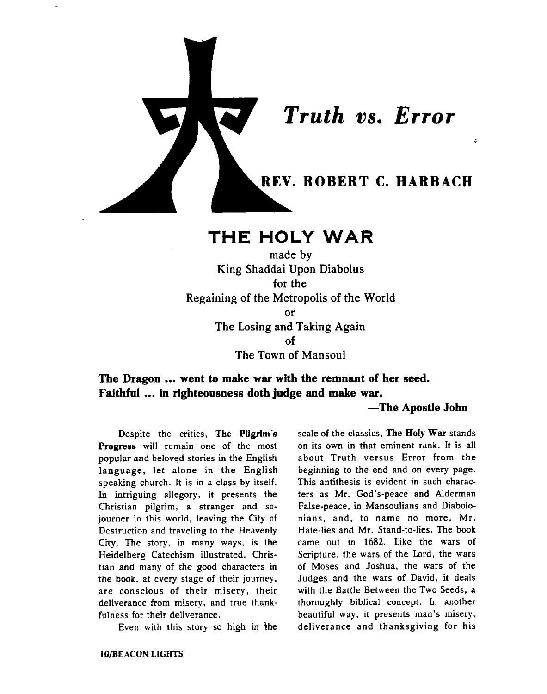

### **THE HOLY** WAR

made by King Shaddai Upon Diabolus for the Regaining of the Metropolis of the World or The Losing and Taking Again of The Town of Mansoul

**The Dragon** ... **went to make war with the remnant of her seed. Faithful** ... **in righteousness doth judge and make war.** 

#### **-The Apostle John**

Despite the critics, The Pilgrim's **Progress** will remain one of the most popular and beloved stories in the English language, let alone in the English speaking church. It is in a class by itself. In intriguing allegory, it presents the Christian pilgrim, a stranger and sojourner in this world, leaving the City of Destruction and traveling to the Heavenly City. The story, in many ways, is the Heidelberg Catechism illustrated. Christian and many of the good characters in the book, at every stage of their journey, are conscious of their misery, their deliverance from misery, and true thankfulness for their deliverance.

Even with this story so high in the

**IO/BEACON LIGHTS** 

scale of the classics. **The** Holy **War** stands on its own in that eminent rank. It is all about Truth versus Error from the beginning to the end and on every page. This antithesis is evident in such characters as Mr. God's-peace and Alderman False-peace, in Mansoulians and Diabolonians, and, to name no more, Mr. Hate-lies and Mr. Stand-to-lies. The **book**  came out in 1682. Like the wars of Scripture, the wars of the Lord, the wars of Moses and Joshua, the wars of the Judges and the wars of David, it deals with the Battle Between the Two Seeds, a thoroughly biblical concept. In another beautiful way. it presents man's misery, deliverance and thanksgiving for his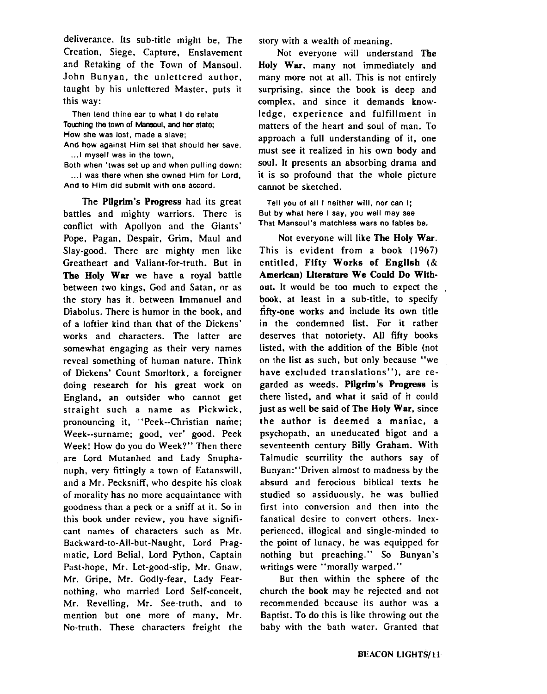deliverance. Its sub-title might be, The Creation. Siege. Capture, Enslavement and Retaking of the Town of Mansoul. John Bunyan, the unlettered author. taught by his unlettered Master, puts it this way:

Then lend thine ear to what I do relate Touching the town of Mansoul, and her state; How she was lost, made a slave; And how against Him set that should her save. ... I myself was in the town.

Both when 'twas set up and when pulling down: ... I was there when she owned Him for Lord, And to Him did submit with one accord.

The **Pugrim's Progress** had its great battles and mighty warriors. There is conflict with Apollyon and the Giants' Pope. Pagan, Despair, Grim. Maul and Slay-good. There are mighty men like Greatheart and Valiant-for-truth. But in The Holy **War** we have a royal battle between two kings, God and Satan, or as the story has it, between Immanuel and Diabolus. There is humor in the book, and of a loftier kind than that of the Dickens' works and characters. The latter are somewhat engaging as their very names reveal something of human nature. Think of Dickens' Count Smorltork, a foreigner doing research for his great work on England, an outsider who cannot get straight such a name as Pickwick. pronouncing it, "Peek--Christian name; Week--surname; good, ver' good. Peek Week! How do you do Week?" Then there are Lord Mutanhed and Lady Snuphanuph, very fittingly a town of Eatanswill. and a Mr. Pecksniff, who despite his cloak of morality has no more acquaintance with goodness than a peck or a sniff at it. So in this book under review, you have significant names of characters such as Mr. Backward-to-All-but-Naught, Lord Pragmatic. Lord Belial. Lord Python, Captain Past-hope, Mr. Let-good-slip. Mr. Gnaw. Mr. Gripe, Mr. Godly-fear, Lady Fearnothing, who married Lord Self-conceit. Mr. Revelling, Mr. See-truth, and to mention but one more of many, Mr. No-truth. These characters freight the

story with a wealth of meaning.

Not everyone will understand **The**  Holy War, many not immediately and many more not at all. This is not entirely surprising, since the book is deep and complex, and since it demands knowledge, experience and fulfillment in matters of the heart and soul of man. To approach a full understanding of it, one must see it realized in his own body and soul. It presents an absorbing drama and it is so profound that the whole picture cannot be sketched.

Tell you of all I neither will, nor can I; But by what here I say, you well may see<br>That Mansoul's matchless wars no fables be.

Not everyone will like The Holy **War.**  This is evident from a book (1967) entitled. Fifty Works of **Engllsh** (& American) Literature We Could Do Without. It would be too much to expect the book, at least in a sub-title, to specify fifty-one works and include its own title in the condemned list. For it rather deserves that notoriety. All fifty books listed. with the addition of the Bible (not on the list as such, but only because "we have excluded translations"). are regarded as weeds. **Pilgrim's Pmgrese** is there listed, and what it said of it could just as well be said of **The** Holy **War,** since the author is deemed a maniac, a psychopath, an uneducated bigot and a seventeenth century Billy Graham. With Talmudic scurrility the authors say of Bunyan:"Driven almost to madness by the absurd and ferocious biblical texts he studied so assiduously, he was bullied first into conversion and then into the fanatical desire to convert others. Inexperienced. illogical and single-minded to the point of lunacy, he was equipped for nothing but preaching." So Bunyan's writings were "morally warped."

But then within the sphere of the church the book may he rejected and not recommended because its author was a Baptist. To do this is like throwing out the baby with the bath water. Granted that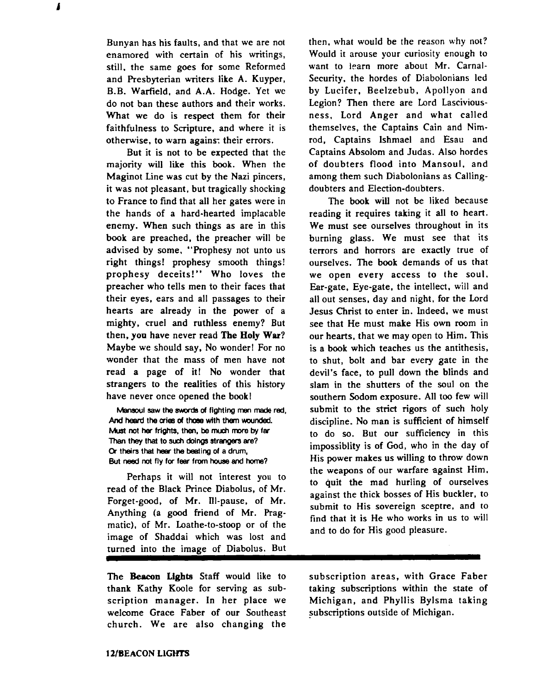Bunyan has his faults, and that we are not enamored with certain of his writings, still, the same goes for some Reformed and Presbyterian writers like A. Kuyper, B.B. Warfield, and A.A. Hodge. Yet we do not ban these authors and their works. What we do is respect them for their faithfulness to Scripture. and where it is otherwise, to warn agains: their errors.

1

But it is not to be expected that the majority will like this book. When the Maginot Line was cut by the Nazi pincers, it **was** not pleasant, but tragically shocking to France to find that all her gates were in the hands of a hard-hearted implacable enemy. When such things as are in this book are preached, the preacher will be advised by some, "Prophesy not unto us right things! prophesy smooth things! prophesy deceits!" Who loves the preacher who tells men to their faces that their eyes, ears and all passages to their hearts are already in the power of a mighty, cruel and ruthless enemy? But then, **you** have never read **The** Holy War? Maybe we should say. No wonder! For no wonder that the mass of men have not read a page of it! No wonder that strangers to the realities of this history have never once opened the book!

**Mansoul saw the swords of fighting men made red,** And heard the cries of those with them wounded. **Must not her frights, then, be** mudr **mwe by fer**  Than **they thal to** sub **doings strangers are? Cr theirs thal hear the baing of a drum,**  But need not fly for fear from house and home?

Perhaps it will not interest you to read of the Black Prince Diabolus, of Mr. Forget-good, of Mr. Ill-pause, of Mr. Anything (a good friend of Mr. Pragmatic), of Mr. Loathe-to-stoop or of the image of Shaddai which was lost and turned into the image of Diabolus. But

The **Beacon Lights** Staff would like to subscription areas, with Grace Faber thank Kathy Koole for serving as sub- taking subscriptions within the state of scription manager. In her place we Michigan, and Phyllis Bylsma taking welcome Grace Faber of our Southeast subscriptions outside of Michigan. church. We are also changing the

then, what would be the reason why not? Would it arouse your curiosity enough to want to learn more about Mr. Carnal-Security, the hordes of Diabolonians led by Lucifer, Beelzebub, Apollyon and Legion? Then there are Lord Lasciviousness, Lord Anger and what called themselves, the Captains Cain and Nimrod, Captains Ishmael and Esau and Captains Absolom and Judas. Also hordes of doubters flood into Mansoul, and among them such Diabolonians as Callingdoubters and Election-doubters.

The book will not be liked because reading it requires taking it all to heart. We must see ourselves throughout in its burning glass. We must see that its terrors and horrors are exactly true of ourselves. The book demands of us that we open every access to the soul. Ear-gate. Eye-gate. the intellect, will and all out senses, day and night, for the Lord Jesus Christ to enter in. Indeed, we must see that He must make His own room in our hearts, that we may open to Him. This is a book which teaches us the antithesis. to shut, bolt and bar every gate in the devil's face, to pull down the blinds and slam in the shutters of the soul on the southern Sodom exposure. All too few will submit to the **strict** rigors of such holy discipline. No man is sufficient of himself to do so. But our sufficiency in this impossiblity is of God, who in the day of His power makes us willing to throw down the weapons of our warfare against Him. to quit the mad hurling of ourselves against the thick bosses of His buckler, to submit to His sovereign sceptre, and to find that it is He who works in us to will and to do for His good pleasure.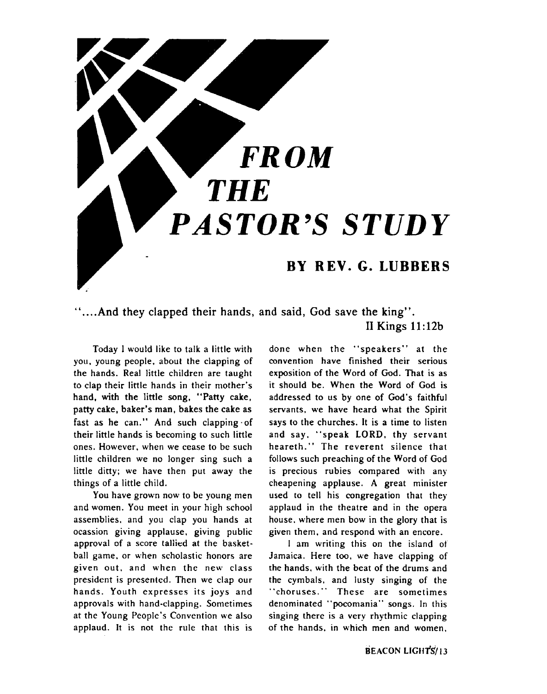

### **"....And they clapped their hands, and said, God save the king". II Kings 11** : **12b**

Today I would like to talk a little with you. young people, about the clapping of the hands. Real little children are taught to clap their little hands in their mother's hand, with the little song. "Patty cake, patty cake, baker's man, bakes the cake as fast as he can." And such clapping-of their little hands is becoming to such little ones. However, when we cease to be such little children we no longer sing such a little ditty; we have then put away the things of a little child.

You have grown now to be young men and women. You meet in your high school assemblies. and you clap you hands at ocassion giving applause, giving public approval of a score tallied at the basketball game. or when scholastic honors are given out, and when the new class president is presented. Then we clap our hands. Youth expresses its joys and approvals with hand-clapping. Sometimes at the Young People's Convention we also applaud. It is not the rule that this is

done when the "speakers" at the convention have finished their serious exposition of the Word of God. That is as it should be. When the Word of God is addressed to us by one of God's faithful servants, we have heard what the Spirit says to the churches. It is a time to listen and say. "speak LORD, thy servant heareth." The reverent silence that follows such preaching of the Word of God is precious rubies compared with any cheapening applause. A great minister used to tell his congregation that they applaud in the theatre and in the opera house. where men bow in the glory that is given them, and respond with an encore.

I am writing this on the island ot Jamaica. Here too, we have clapping of the hands. with the beat of the drums and the cymbals, and lusty singing of the "choruses." These are sometimes denominated "pocomania" songs. In this singing there is a very rhythmic clapping of the hands, in which men and women.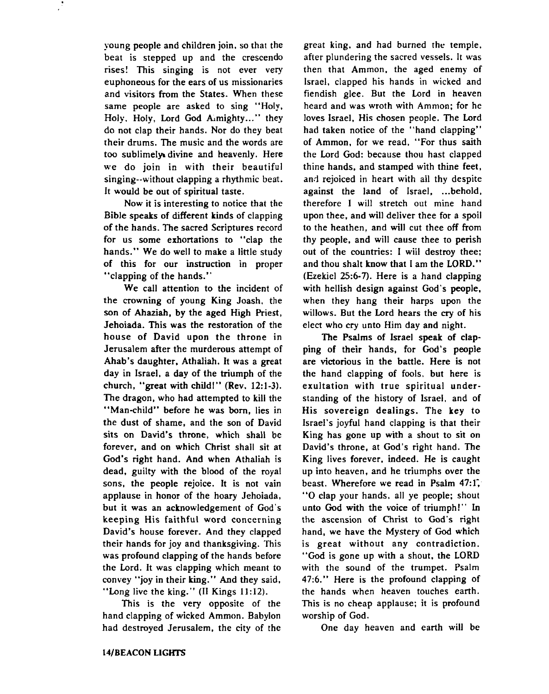young people and children join. so that the beat is stepped up and the crescendo rises! This singing is not ever very euphoneous for the ears of us missionaries and visitors from the States. When these same people are asked to sing "Holy, Holy, Holy, Lord God Aimighty..." they do not clap their hands. Nor do they beat their drums. The music and the words are too sublimely divine and heavenly. Here we do join in with their beautiful singing--without clapping a rhythmic beat. It would be out of spiritual taste.

Now it is interesting to notice that the Bible speaks of different kinds of clapping of the hands. The sacred Scriptures record for us some exhortations to "clap the hands." We do well to make a little study of this for our instruction in proper "clapping of the hands."

We call attention to the incident of the crowning of young King Joash, the son of Ahaziah, by the aged High Riest, Jehoiada. This was the restoration of the house of David upon the throne in Jerusalem after the murderous attempt of Ahab's daughter. Athaliah. It was a great day in Israel, a day of the triumph of the church, "great with childl" (Rev. **12:l-3).**  The dragon, who had attempted to kill the "Man-child" before he was **born,** lies in the dust of shame, and the son of David sits on David's throne, which shall be forever, and on which Christ shall sit at God's right hand. And when Athaliah is dead, guilty with the blood of the royal sons, the people rejoice. It is not vain applause in honor of the hoary Jehoiada, but it was an acknowledgement of God's keeping His faithful word concerning David's house forever. And they clapped their hands for joy and thanksgiving. 'This was profound clapping of the hands before the Lord. It was clapping which meant to convey "joy in their king." And they said. "Long live the king." (I1 Kings **11:12).** 

This is the very opposite of the hand clapping of wicked Ammon. Babylon had destroyed Jerusalem, the city of the

great king. and had burned the temple. after plundering the sacred vessels. It was then that Ammon. the aged enemy of Israel, clapped his hands in wicked and fiendish glee. But the Lord in heaven heard and was wroth with Ammon; for he loves Israel. His chosen people. The Lord had taken notice of the "hand clapping" of Ammon, for we read, "For thus saith the Lord God: because thou hast clapped thine hands, and stamped with thine feet, and rejoiced in heart with all thy despite against the land of Israel, ... behold, therefore I will stretch out mine hand upon thee, and will deliver thee for a spoil to the heathen, and will cut thee off from thy people, and will cause thee to perish out of the countries: I wiil destroy thee; and thou shalt know that I am the **LORD."**  (Ezekiel 25:6-7). Here is a hand clapping with hellish design against God's people. when they hang their harps upon the willows. But the Lord hears the **cry** of his elect who cry unto Him day and night.

The Psalms of Israel speak of clapping of their hands, for God's people are victorious in the battle. Here is not the hand clapping of fools, but here is exultation with true spiritual understanding of the history of Israel, and of His sovereign dealings. The key to Israel's joyful hand clapping is that their King has gone up with a shout to sit on David's throne, at God's right hand. The King lives forever, indeed. He is caught up into heaven, and he triumphs over the beast. Wherefore we read in Psalm **47:l;**  "0 clap your hands, all ye people; shout unto God with the voice of triumph!" In the ascension of Christ to God's right hand, we have the Mystery of **God** which is great without any contradiction. "God is gone up with a shout, the LORD with the sound of the trumpet. Psalm **47:6."** Here is the profound clapping of the hands when heaven touches earth. This is no cheap applause; it is profound worship of God.

One day heaven and earth will be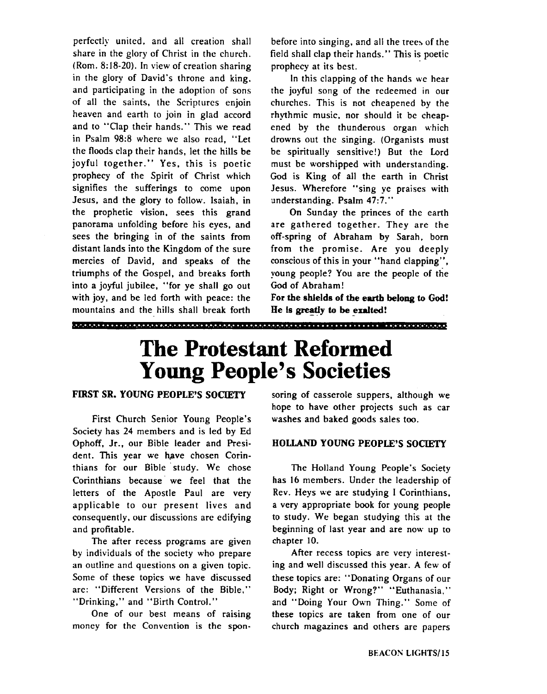perfectly united, and all creation shall share in the glory of Christ in the church. (Rom. 8:18-20). In view of creation sharing in the glory of David's throne and king. and participating in the adoption of sons of all the saints, the Scriptures enjoin heaven and earth to join in glad accord and to "Clap their hands." This we read in Psalm 98:8 where we also read, "Let the floods clap their hands, let the hills be joyful together." Yes, this is poetic prophecy of the Spirit of Christ which signifies the sufferings to come upon Jesus, and the glory to follow. Isaiah, in the prophetic vision, sees this grand panorama unfolding before his eyes, and sees the bringing in of the saints from distant lands into the Kingdom of the sure mercies of David, and speaks of the triumphs of the Gospel, and breaks forth into a joyful jubilee, "for ye shall go out with joy, and be led forth with peace: the mountains and the hills shall break forth

before into singing, and all the trees of the field shall clap their hands." This is poetic prophecy at its best.

In this clapping of the hands we hear the joyful song of the redeemed in our churches. This is not cheapened by the rhythmic music, nor should it be cheapened by the thunderous organ which drowns out the singing. (Organists must be spiritually sensitive!) But the Lord must be worshipped with understanding. God is King of all the earth in Christ Jesus. Wherefore "sing ye praises with understanding. Psalm **47:7."** 

On Sunday the princes of the earth are gathered together. They are the off-spring of Abraham by Sarah. born from the promise. Are you deeply conscious of this in your "hand clapping", young people? You are the people of the God of Abraham!

**For the shlelds of the earth belong to God! He is greatly to be exalted!** 

### **The Protestant Reformed Young People's Societies**

<u> 1999 - 1999 - 1999 - 1999 - 1999 - 1999 - 1999 - 1999 - 1999 - 1999 - 1999 - 1999 - 1999 - 1999 - 1999 - 1999 - 1999 - 1999 - 1999 - 1999 - 1999 - 1999 - 1999 - 1999 - 1999 - 1999 - 1999 - 1999 - 1999 - 1999 - 1999 - 199</u>

#### **FIRST SR. YOUNG PEOPLE'S SOCIETY**

First Church Senior Young People's Society has 24 members and is led by Ed Ophoff, Jr., our Bible leader and President. This year we have chosen Corinthians for our Bible 'study. We chose Corinthians because' we feel that the letters of the Apostle Paul are very applicable to our present lives and consequently, our discussions are edifying and profitable.

The after recess programs are given by individuals of the society who prepare an outline and questions on a given topic. Some of these topics we have discussed are: "Different Versions of the Bible." "Drinking," and "Birth Control."

One of our best means of raising money for the Convention is the sponsoring of casserole suppers, although we hope to have other projects such as car washes and baked goods sales too.

#### **HOLLAND YOUNG PEOPLE'S SOCIETY**

The Holland Young People's Society has 16 members. Under the leadership of Rev. Heys we are studying I Corinthians, a very appropriate book for young people to study. We began studying this at the beginning of last year and are now up to chapter 10.

After recess topics are very interesting and well discussed this year. A few of these topics are: "Donating Organs of our Body; Right or Wrong?" "Euthanasia." and "Doing Your Own Thing." Some of these topics are taken from one of our church magazines and others are papers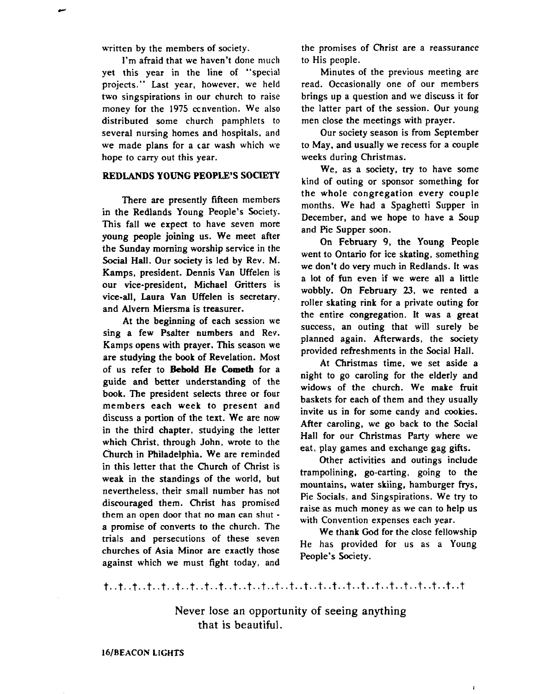written by the members of society.

I'm afraid that we haven't done much yet this year in the line of "special projects." Last year, however, we held two singspirations in our church to raise money for the 1975 ccnvention. We also distributed some church pamphlets to several nursing homes and hospitals, and **we** made plans for a car wash which we hope to carry out this year.

#### **REDLANDS YOUNG PEOPLE'S SOCIETY**

There are presently fifteen members in the Redlands Young People's Society. This fall we expect to have seven more young people joining us. We meet after the Sunday morning worship service in the Social Hall. Our society is led by Rev. M. Kamps, president. Dennis Van Uffelen is our vice-president. Michael Gritters is vice-all, Laura Van Uffelen is secretary, and Alvern Miersma is treasurer.

At the beginning of each session we sing a few Psalter numbers and Rev. Kamps opens with prayer. This season we are studying the **book** of Revelation. Most of us refer to **Behold** He **Cometb** for a guide and better understanding of the book. The president selects three or four members each week to present and discuss a portion of the text. We are now in the third chapter, studying the letter which Christ, through John, wrote to the Church in Philadelphia. We are reminded in this letter that the Church of Christ is weak in the standings of the world, but nevertheless, their small number has not discouraged them. Christ has promised them an open door that no man can shut a promise of converts to the church. The trials and persecutions of these seven churches of Asia Minor are exactly those against which we must fight today, and

the promises of Christ are a reassurance to His people.

Minutes of the previous meeting are read. Occasionally one of our members brings up a question and we discuss it for the latter part of the session. Our young men close the meetings with prayer.

Our society season is from September to May, and usually we recess for a couple weeks during Christmas.

We, as a society, try to have some kind of outing or sponsor something for the whole congregation every couple months. We had a Spaghetti Supper in December, and we hope to have a Soup and Pie Supper soon.

On February **9,** the Young People went to Ontario for ice skating, something we don't do very much in Redlands. It was a lot of **fun** even if we were all a little wobbly. On February 23, we rented a roller skating rink for a private outing for the entire congregation. It was a great success, an outing that will surely be planned again. Afterwards, the society provided refreshments in the Social Hall.

At Christmas time, we set aside a night to go caroling for the elderly and widows of the church. We make fruit baskets for each of them and they usually invite us **in** for some candy and cookies. After caroling, we go back to the Social Hall for our Christmas Party where we eat, play games and exchange gag gifts.

Other activities and outings include trampolining, go-carting, going to the mountains, water skiing, hamburger frys, Pie Socials, and Singspirations. We try to raise as much money as we can to help us with Convention expenses each year.

We thank God for the close fellowship He has provided for us as a Young People's Society.

 $\mathbf{r}$ 

#### 

Never lose an opportunity of seeing anything that is beautiful.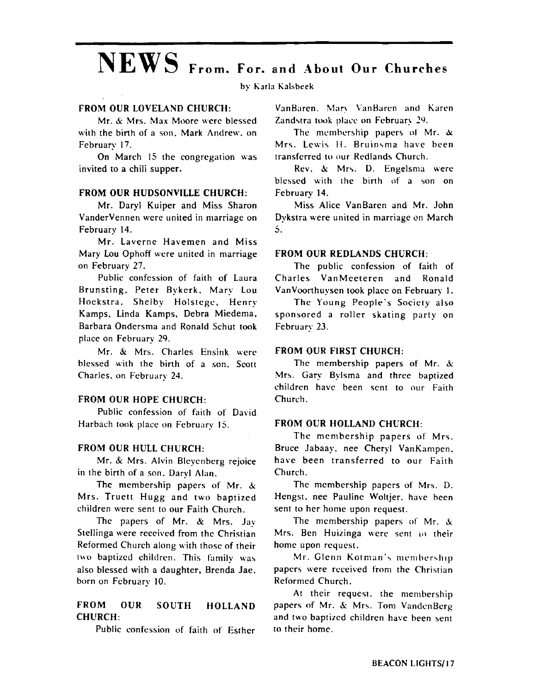# $NEWS$  From. For. and About Our Churches

by Karla Kalsheek

#### **FROM OUR LOVELAND CHURCH:**

Mr. & Mrs. Max Moore were blessed with the birth of a son. Mark Andrew, on February 17.

On March 15 the congregation was invited to a chili supper.

#### **FROM OUR HUDSONVILLE CHURCH:**

Mr. Daryl Kuiper and Miss Sharon VanderVennen werc united in marriage on February 14.

Mr. Laverne Havemen and Miss Mary Lou Ophoff were united in marriage on February 27.

Public confession of faith of Laura Brunsting. Peter Bykerk. Mary Lou Hoekstra. Shelby Holstegc, Henry Kamps, Linda Kamps, Debra Miedema, Barbara Ondersma and Ronald Schut took place on February 29.

Mr. & Mrs. Charles Ensink werc blessed with the birth of a son. Scott Charles. on February **24.** 

#### **FROM OUR HOPE CHURCH:**

Public confession of faith of David Harbach took place on February 15.

#### **FROM OUR HULL CHURCH:**

Mr. & Mrs. Alvin Bleycnberg rejoice in the birth of a son. Daryl Alan.

The membership papers of Mr. **b:**  Mrs. Truett Hugg and two baprized children were sent to our Faith Church.

The papers of Mr. & Mrs. Jay Stellinga were received from the Christian Reformed Church along with those of their two baptized children. This family was also blessed with a daughter, Brenda Jae, born on February 10.

#### **FROM OUR SOUTH HOLLAND CHURCH:**

Public confession of faith of Esther

VanBaren. Mary VanBaren and Karen. Zandstra took place on February 29.

The membership papers of Mr.  $\alpha$ Mrs. Lewis H. Bruinsma have been transferred to our Redlands Church.

Rev. **Si** Mrs. D. Engelsma werc blessed with the birth of a son on February 14.

Miss Alice VanBaren and Mr. John Dykstra were united in marriage on March 5.

#### **FROM OUR REDLANDS CHURCH:**

The public confession of faith of Charles VanMeeteren and Ronald VanVoorthuysen took place on February 1.

The Young People's Society also sponsored a roller skating party on February 23.

#### **FROM OUR FIRST CHURCH:**

The membership papers of Mr.  $\&$ .Mrs. Gary Bylsma and three baptized children havc been sent to our Faith Church.

#### **FROM OUR HOLLAND CHURCH:**

The membership papers of Mrs. Bruce Jabaay, nee Cheryl VanKampen. have been transferred to our Faith Church.

The membership papers of Mrs. D. Hengst. nee Pauline Woltjer. have heen sent to her home upon request.

The membership papers of Mr.  $&$ Mrs. Ben Huizinga were sent to their home upon request.

Mr. Glenn Kotman's membership papers were received from the Christian Reformed Church.

At their request. the membership papers of Mr. **S:** Mr5. Tom VandcnBcrg and two baptized children have been sent to their home.